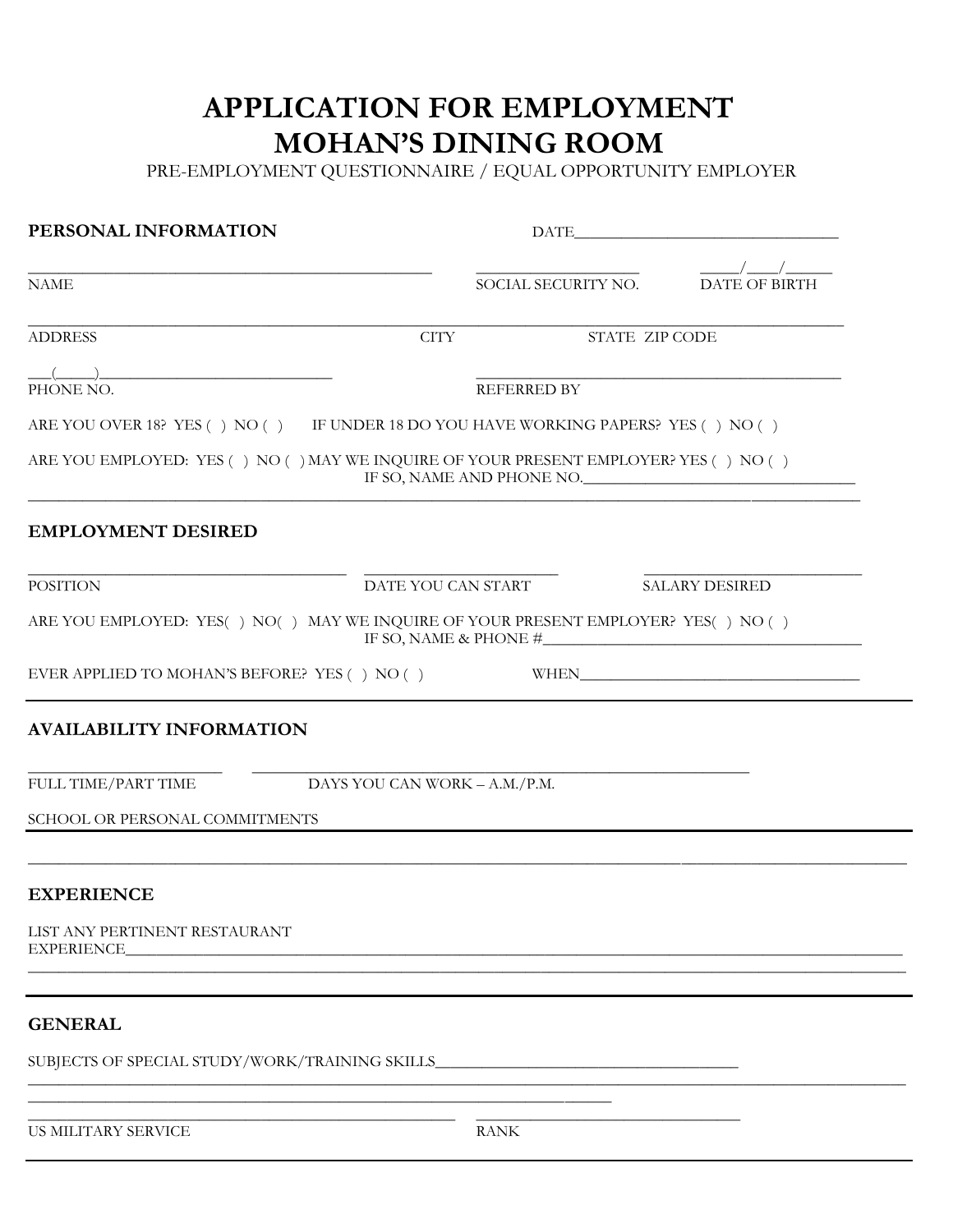# **APPLICATION FOR EMPLOYMENT MOHAN'S DINING ROOM**

PRE-EMPLOYMENT QUESTIONNAIRE / EQUAL OPPORTUNITY EMPLOYER

| PERSONAL INFORMATION                                                                                                          |                               |                     |                       |  |  |
|-------------------------------------------------------------------------------------------------------------------------------|-------------------------------|---------------------|-----------------------|--|--|
| <b>NAME</b>                                                                                                                   |                               | SOCIAL SECURITY NO. | <b>DATE OF BIRTH</b>  |  |  |
| <b>ADDRESS</b>                                                                                                                | <b>CITY</b>                   |                     | STATE ZIP CODE        |  |  |
| <u> 1989 - Johann John Stone, mensk politik fotograf (d. 1989)</u><br>PHONE NO.                                               |                               | <b>REFERRED BY</b>  |                       |  |  |
| ARE YOU OVER 18? YES () NO () IF UNDER 18 DO YOU HAVE WORKING PAPERS? YES () NO ()                                            |                               |                     |                       |  |  |
| ARE YOU EMPLOYED: YES () NO () MAY WE INQUIRE OF YOUR PRESENT EMPLOYER? YES () NO ()                                          |                               |                     |                       |  |  |
| <b>EMPLOYMENT DESIRED</b>                                                                                                     |                               |                     |                       |  |  |
| <b>POSITION</b>                                                                                                               | DATE YOU CAN START            |                     | <b>SALARY DESIRED</b> |  |  |
| ARE YOU EMPLOYED: YES() NO() MAY WE INQUIRE OF YOUR PRESENT EMPLOYER? YES() NO()                                              |                               |                     |                       |  |  |
| $EVER APPLIED TO MOHAN'S BEFORE? \; YES( ) NO( ) \qquad \qquad \text{WHEN} \underline{\hspace{2cm}} \underline{\hspace{2cm}}$ |                               |                     |                       |  |  |
| <b>AVAILABILITY INFORMATION</b>                                                                                               |                               |                     |                       |  |  |
| FULL TIME/PART TIME                                                                                                           | DAYS YOU CAN WORK - A.M./P.M. |                     |                       |  |  |
| SCHOOL OR PERSONAL COMMITMENTS                                                                                                |                               |                     |                       |  |  |
| <b>EXPERIENCE</b>                                                                                                             |                               |                     |                       |  |  |
| LIST ANY PERTINENT RESTAURANT<br>EXPERIENCE                                                                                   |                               |                     |                       |  |  |
| <b>GENERAL</b>                                                                                                                |                               |                     |                       |  |  |
|                                                                                                                               |                               |                     |                       |  |  |
|                                                                                                                               |                               |                     |                       |  |  |

US MILITARY SERVICE RANK

\_\_\_\_\_\_\_\_\_\_\_\_\_\_\_\_\_\_\_\_\_\_\_\_\_\_\_\_\_\_\_\_\_\_\_\_\_\_\_\_\_\_\_\_\_\_\_\_\_\_\_\_\_\_\_ \_\_\_\_\_\_\_\_\_\_\_\_\_\_\_\_\_\_\_\_\_\_\_\_\_\_\_\_\_\_\_\_\_\_